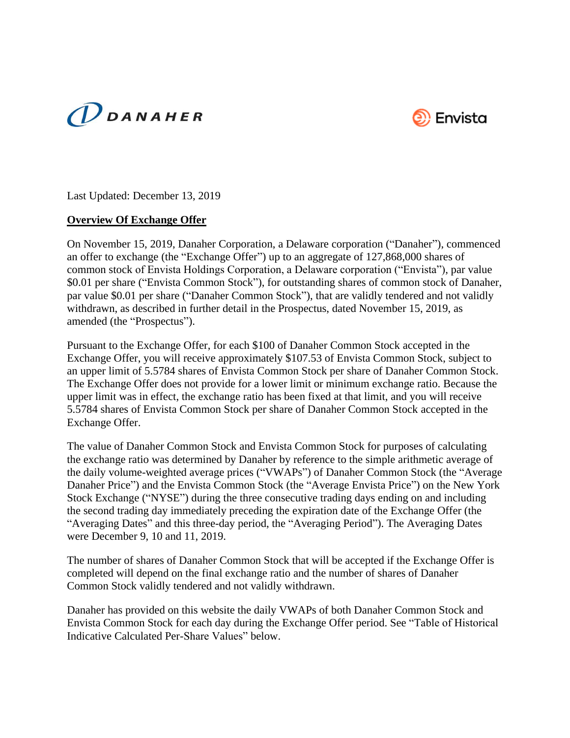



Last Updated: December 13, 2019

## **Overview Of Exchange Offer**

On November 15, 2019, Danaher Corporation, a Delaware corporation ("Danaher"), commenced an offer to exchange (the "Exchange Offer") up to an aggregate of 127,868,000 shares of common stock of Envista Holdings Corporation, a Delaware corporation ("Envista"), par value \$0.01 per share ("Envista Common Stock"), for outstanding shares of common stock of Danaher, par value \$0.01 per share ("Danaher Common Stock"), that are validly tendered and not validly withdrawn, as described in further detail in the Prospectus, dated November 15, 2019, as amended (the "Prospectus").

Pursuant to the Exchange Offer, for each \$100 of Danaher Common Stock accepted in the Exchange Offer, you will receive approximately \$107.53 of Envista Common Stock, subject to an upper limit of 5.5784 shares of Envista Common Stock per share of Danaher Common Stock. The Exchange Offer does not provide for a lower limit or minimum exchange ratio. Because the upper limit was in effect, the exchange ratio has been fixed at that limit, and you will receive 5.5784 shares of Envista Common Stock per share of Danaher Common Stock accepted in the Exchange Offer.

The value of Danaher Common Stock and Envista Common Stock for purposes of calculating the exchange ratio was determined by Danaher by reference to the simple arithmetic average of the daily volume-weighted average prices ("VWAPs") of Danaher Common Stock (the "Average Danaher Price") and the Envista Common Stock (the "Average Envista Price") on the New York Stock Exchange ("NYSE") during the three consecutive trading days ending on and including the second trading day immediately preceding the expiration date of the Exchange Offer (the "Averaging Dates" and this three-day period, the "Averaging Period"). The Averaging Dates were December 9, 10 and 11, 2019.

The number of shares of Danaher Common Stock that will be accepted if the Exchange Offer is completed will depend on the final exchange ratio and the number of shares of Danaher Common Stock validly tendered and not validly withdrawn.

Danaher has provided on this website the daily VWAPs of both Danaher Common Stock and Envista Common Stock for each day during the Exchange Offer period. See "Table of Historical Indicative Calculated Per-Share Values" below.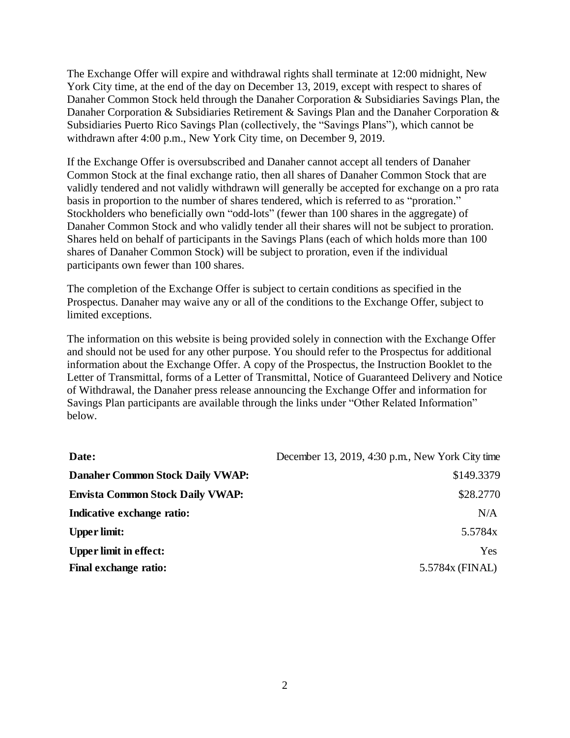The Exchange Offer will expire and withdrawal rights shall terminate at 12:00 midnight, New York City time, at the end of the day on December 13, 2019, except with respect to shares of Danaher Common Stock held through the Danaher Corporation & Subsidiaries Savings Plan, the Danaher Corporation & Subsidiaries Retirement & Savings Plan and the Danaher Corporation & Subsidiaries Puerto Rico Savings Plan (collectively, the "Savings Plans"), which cannot be withdrawn after 4:00 p.m., New York City time, on December 9, 2019.

If the Exchange Offer is oversubscribed and Danaher cannot accept all tenders of Danaher Common Stock at the final exchange ratio, then all shares of Danaher Common Stock that are validly tendered and not validly withdrawn will generally be accepted for exchange on a pro rata basis in proportion to the number of shares tendered, which is referred to as "proration." Stockholders who beneficially own "odd-lots" (fewer than 100 shares in the aggregate) of Danaher Common Stock and who validly tender all their shares will not be subject to proration. Shares held on behalf of participants in the Savings Plans (each of which holds more than 100 shares of Danaher Common Stock) will be subject to proration, even if the individual participants own fewer than 100 shares.

The completion of the Exchange Offer is subject to certain conditions as specified in the Prospectus. Danaher may waive any or all of the conditions to the Exchange Offer, subject to limited exceptions.

The information on this website is being provided solely in connection with the Exchange Offer and should not be used for any other purpose. You should refer to the Prospectus for additional information about the Exchange Offer. A copy of the Prospectus, the Instruction Booklet to the Letter of Transmittal, forms of a Letter of Transmittal, Notice of Guaranteed Delivery and Notice of Withdrawal, the Danaher press release announcing the Exchange Offer and information for Savings Plan participants are available through the links under "Other Related Information" below.

| Date:                                   | December 13, 2019, 4:30 p.m., New York City time |
|-----------------------------------------|--------------------------------------------------|
| <b>Danaher Common Stock Daily VWAP:</b> | \$149.3379                                       |
| <b>Envista Common Stock Daily VWAP:</b> | \$28.2770                                        |
| Indicative exchange ratio:              | N/A                                              |
| <b>Upper limit:</b>                     | 5.5784x                                          |
| <b>Upper limit in effect:</b>           | Yes                                              |
| <b>Final exchange ratio:</b>            | 5.5784x (FINAL)                                  |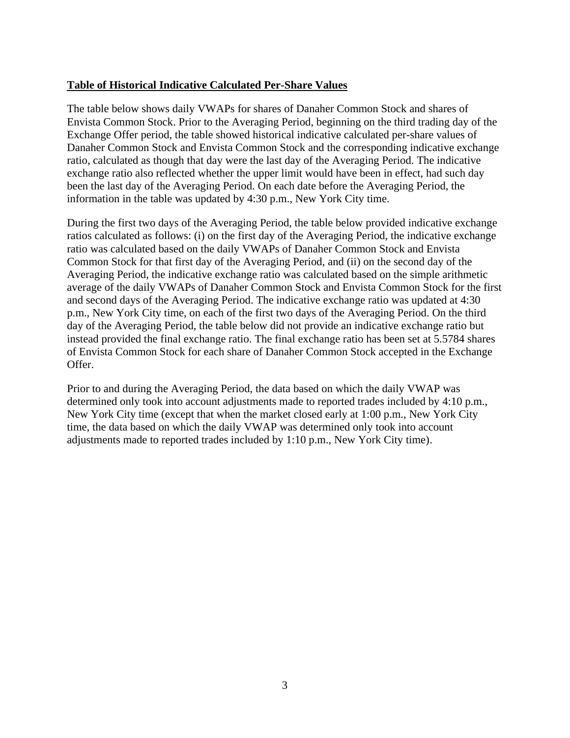## **Table of Historical Indicative Calculated Per-Share Values**

The table below shows daily VWAPs for shares of Danaher Common Stock and shares of Envista Common Stock. Prior to the Averaging Period, beginning on the third trading day of the Exchange Offer period, the table showed historical indicative calculated per-share values of Danaher Common Stock and Envista Common Stock and the corresponding indicative exchange ratio, calculated as though that day were the last day of the Averaging Period. The indicative exchange ratio also reflected whether the upper limit would have been in effect, had such day been the last day of the Averaging Period. On each date before the Averaging Period, the information in the table was updated by 4:30 p.m., New York City time.

During the first two days of the Averaging Period, the table below provided indicative exchange ratios calculated as follows: (i) on the first day of the Averaging Period, the indicative exchange ratio was calculated based on the daily VWAPs of Danaher Common Stock and Envista Common Stock for that first day of the Averaging Period, and (ii) on the second day of the Averaging Period, the indicative exchange ratio was calculated based on the simple arithmetic average of the daily VWAPs of Danaher Common Stock and Envista Common Stock for the first and second days of the Averaging Period. The indicative exchange ratio was updated at 4:30 p.m., New York City time, on each of the first two days of the Averaging Period. On the third day of the Averaging Period, the table below did not provide an indicative exchange ratio but instead provided the final exchange ratio. The final exchange ratio has been set at 5.5784 shares of Envista Common Stock for each share of Danaher Common Stock accepted in the Exchange Offer.

Prior to and during the Averaging Period, the data based on which the daily VWAP was determined only took into account adjustments made to reported trades included by 4:10 p.m., New York City time (except that when the market closed early at 1:00 p.m., New York City time, the data based on which the daily VWAP was determined only took into account adjustments made to reported trades included by 1:10 p.m., New York City time).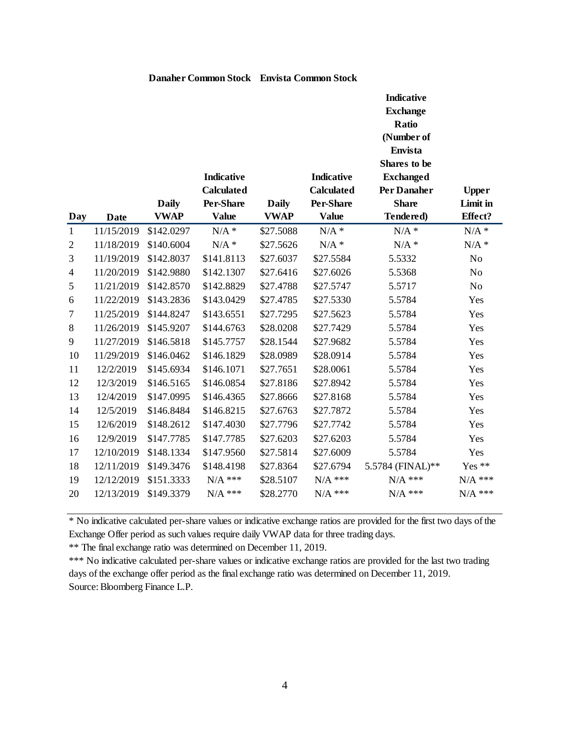|                     | <b>Date</b> | <b>Daily</b><br><b>VWAP</b> | <b>Indicative</b><br><b>Calculated</b><br>Per-Share<br><b>Value</b> | <b>Daily</b><br><b>VWAP</b> | <b>Indicative</b><br><b>Calculated</b><br>Per-Share<br><b>Value</b> | <b>Indicative</b><br><b>Exchange</b><br><b>Ratio</b><br>(Number of<br><b>Envista</b><br><b>Shares</b> to be<br><b>Exchanged</b><br>Per Danaher<br><b>Share</b><br>Tendered) | <b>Upper</b><br>Limit in<br>Effect? |
|---------------------|-------------|-----------------------------|---------------------------------------------------------------------|-----------------------------|---------------------------------------------------------------------|-----------------------------------------------------------------------------------------------------------------------------------------------------------------------------|-------------------------------------|
| Day<br>$\mathbf{1}$ | 11/15/2019  | \$142.0297                  | $N/A$ *                                                             | \$27.5088                   | $N/A$ *                                                             | $N/A$ *                                                                                                                                                                     | $N/A$ *                             |
| $\overline{c}$      | 11/18/2019  | \$140.6004                  | $N/A$ *                                                             | \$27.5626                   | $N/A$ *                                                             | $N/A$ *                                                                                                                                                                     | $N/A$ *                             |
| 3                   | 11/19/2019  | \$142.8037                  | \$141.8113                                                          | \$27.6037                   | \$27.5584                                                           | 5.5332                                                                                                                                                                      | $\rm No$                            |
| 4                   | 11/20/2019  | \$142.9880                  | \$142.1307                                                          | \$27.6416                   | \$27.6026                                                           | 5.5368                                                                                                                                                                      | No                                  |
| 5                   | 11/21/2019  | \$142.8570                  | \$142.8829                                                          | \$27.4788                   | \$27.5747                                                           | 5.5717                                                                                                                                                                      | No                                  |
| 6                   | 11/22/2019  | \$143.2836                  | \$143.0429                                                          | \$27.4785                   | \$27.5330                                                           | 5.5784                                                                                                                                                                      | Yes                                 |
| 7                   | 11/25/2019  | \$144.8247                  | \$143.6551                                                          | \$27.7295                   | \$27.5623                                                           | 5.5784                                                                                                                                                                      | Yes                                 |
| $8\,$               | 11/26/2019  | \$145.9207                  | \$144.6763                                                          | \$28.0208                   | \$27.7429                                                           | 5.5784                                                                                                                                                                      | Yes                                 |
| 9                   | 11/27/2019  | \$146.5818                  | \$145.7757                                                          | \$28.1544                   | \$27.9682                                                           | 5.5784                                                                                                                                                                      | Yes                                 |
| 10                  | 11/29/2019  | \$146.0462                  | \$146.1829                                                          | \$28.0989                   | \$28.0914                                                           | 5.5784                                                                                                                                                                      | Yes                                 |
| 11                  | 12/2/2019   | \$145.6934                  | \$146.1071                                                          | \$27.7651                   | \$28.0061                                                           | 5.5784                                                                                                                                                                      | Yes                                 |
| 12                  | 12/3/2019   | \$146.5165                  | \$146.0854                                                          | \$27.8186                   | \$27.8942                                                           | 5.5784                                                                                                                                                                      | Yes                                 |
| 13                  | 12/4/2019   | \$147.0995                  | \$146.4365                                                          | \$27.8666                   | \$27.8168                                                           | 5.5784                                                                                                                                                                      | Yes                                 |
| 14                  | 12/5/2019   | \$146.8484                  | \$146.8215                                                          | \$27.6763                   | \$27.7872                                                           | 5.5784                                                                                                                                                                      | Yes                                 |
| 15                  | 12/6/2019   | \$148.2612                  | \$147.4030                                                          | \$27.7796                   | \$27.7742                                                           | 5.5784                                                                                                                                                                      | Yes                                 |
| 16                  | 12/9/2019   | \$147.7785                  | \$147.7785                                                          | \$27.6203                   | \$27.6203                                                           | 5.5784                                                                                                                                                                      | Yes                                 |
| 17                  | 12/10/2019  | \$148.1334                  | \$147.9560                                                          | \$27.5814                   | \$27.6009                                                           | 5.5784                                                                                                                                                                      | Yes                                 |
| 18                  | 12/11/2019  | \$149.3476                  | \$148.4198                                                          | \$27.8364                   | \$27.6794                                                           | 5.5784 (FINAL)**                                                                                                                                                            | Yes $**$                            |
| 19                  | 12/12/2019  | \$151.3333                  | $N/A$ ***                                                           | \$28.5107                   | $\rm N/A$ ***                                                       | $N/A$ ***                                                                                                                                                                   | $N/A$ ***                           |
| 20                  | 12/13/2019  | \$149.3379                  | $N/A$ ***                                                           | \$28.2770                   | $N/A$ ***                                                           | $N/A$ ***                                                                                                                                                                   | $N/A$ ***                           |

#### **Danaher Common Stock Envista Common Stock**

\* No indicative calculated per-share values or indicative exchange ratios are provided for the first two days of the Exchange Offer period as such values require daily VWAP data for three trading days.

\*\* The final exchange ratio was determined on December 11, 2019.

Source: Bloomberg Finance L.P. \*\*\* No indicative calculated per-share values or indicative exchange ratios are provided for the last two trading days of the exchange offer period as the final exchange ratio was determined on December 11, 2019.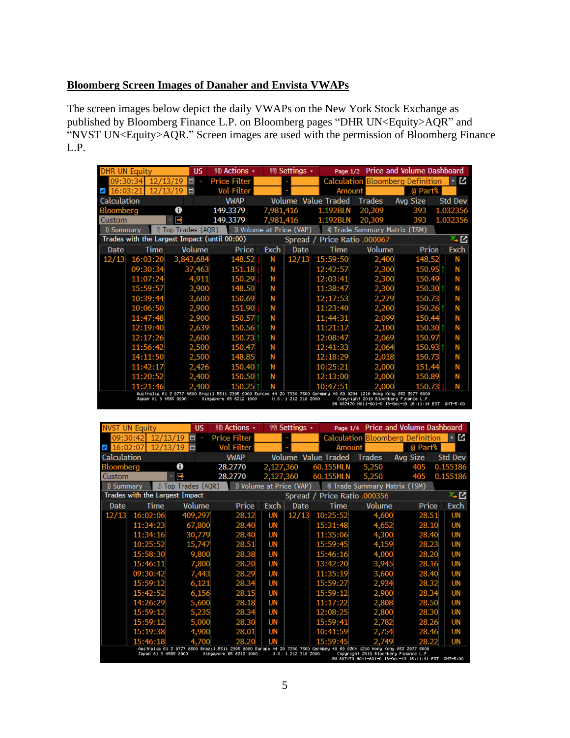# **Bloomberg Screen Images of Danaher and Envista VWAPs**

The screen images below depict the daily VWAPs on the New York Stock Exchange as published by Bloomberg Finance L.P. on Bloomberg pages "DHR UN<Equity>AQR" and "NVST UN<Equity>AQR." Screen images are used with the permission of Bloomberg Finance L.P.

| <b>DHR UN Equity</b>                                                                                                                                                                                                                                                                            |          |                        | <b>US</b>                                    |     | 98) Actions •            |           | 99 Settings • | Page $1/2$                   |                               | Price and Volume Dashboard              |          |  |
|-------------------------------------------------------------------------------------------------------------------------------------------------------------------------------------------------------------------------------------------------------------------------------------------------|----------|------------------------|----------------------------------------------|-----|--------------------------|-----------|---------------|------------------------------|-------------------------------|-----------------------------------------|----------|--|
| 09:30:34                                                                                                                                                                                                                                                                                        |          | 12/13/19               |                                              |     | <b>Price Filter</b>      |           |               |                              |                               | <b>Calculation Bloomberg Definition</b> | 「∽ ⊠     |  |
|                                                                                                                                                                                                                                                                                                 |          | 12 <sub>1</sub><br>'13 | ö                                            |     | <b>Vol Filter</b>        |           |               | Amount                       |                               | @ Part%                                 |          |  |
| Calculation                                                                                                                                                                                                                                                                                     |          |                        |                                              |     | <b>VWAP</b>              |           |               | <b>Volume Value Traded</b>   | Trades                        | Avg Size                                | Std Dev  |  |
| Bloomberg                                                                                                                                                                                                                                                                                       |          |                        | 0                                            |     | 149.3379                 | 7,981,416 |               | 1.192BLN                     | 20,309                        | 393                                     | 1.032356 |  |
| Custom                                                                                                                                                                                                                                                                                          |          |                        | P                                            |     | 149.3379                 | 7,981,416 |               | 1.192BLN                     | 20,309                        | 393                                     | 1.032356 |  |
| 1) Summary                                                                                                                                                                                                                                                                                      |          |                        | $2)$ Top Trades (AQR)                        |     | 3) Volume at Price (VAP) |           |               |                              | 4) Trade Summary Matrix (TSM) |                                         |          |  |
|                                                                                                                                                                                                                                                                                                 |          |                        | Trades with the Largest Impact (until 00:00) |     |                          |           |               | Spread / Price Ratio .000067 |                               |                                         | 직주       |  |
| Date                                                                                                                                                                                                                                                                                            |          | Time                   | Volume                                       |     | Price                    | Exch      | Date          | Time                         | Volume                        | Price                                   | Exch     |  |
| 12/13                                                                                                                                                                                                                                                                                           | 16:03:20 |                        | 3,843,684                                    |     | 148.52                   | N         | 12/13         | 15:59:50                     | 2,400                         | 148.52                                  | N        |  |
|                                                                                                                                                                                                                                                                                                 | 09:30:34 |                        | 37,463                                       |     | 151.18                   | N         |               | 12:42:57                     | 2,300                         | 150.95                                  | N        |  |
|                                                                                                                                                                                                                                                                                                 | 11:07:24 |                        | 4,911                                        |     | 150.29                   | Ν         |               | 12:03:41                     | 2,300                         | 150.49                                  | N        |  |
|                                                                                                                                                                                                                                                                                                 | 15:59:57 |                        | 3,900                                        |     | 148.50                   | Ν         |               | 11:38:47                     | 2,300                         | 150.30                                  | N        |  |
|                                                                                                                                                                                                                                                                                                 | 10:39:44 |                        | 3,600                                        |     | 150.69                   | Ν         |               | 12:17:53                     | 2,279                         | 150.73                                  | N        |  |
|                                                                                                                                                                                                                                                                                                 | 10:06:50 |                        | 2,900                                        |     | 151.90                   | Ν         |               | 11:23:40                     | 2,200                         | 150.26                                  | N        |  |
|                                                                                                                                                                                                                                                                                                 | 11:47:48 |                        | 2,900                                        |     | 150.57                   | Ν         |               | 11:44:31                     | 2,099                         | 150.44                                  | N        |  |
|                                                                                                                                                                                                                                                                                                 | 12:19:40 |                        | 2,639                                        |     | 150.56                   | Ν         |               | 11:21:17                     | 2,100                         | 150.30                                  | N        |  |
|                                                                                                                                                                                                                                                                                                 | 12:17:26 |                        | 2,600                                        |     | 150.73                   | Ν         |               | 12:08:47                     | 2,069                         | 150.97                                  | N        |  |
|                                                                                                                                                                                                                                                                                                 | 11:56:42 |                        | 2,500                                        |     | 150.47                   | Ν         |               | 12:41:33                     | 2,064                         | 150.93                                  | N        |  |
|                                                                                                                                                                                                                                                                                                 | 14:11:50 |                        | 2,500                                        |     | 148.85                   | Ν         |               | 12:18:29                     | 2,018                         | 150.73                                  | Ν        |  |
|                                                                                                                                                                                                                                                                                                 | 11:42:17 |                        | 2,426                                        |     | 150.40                   | N         |               | 10:25:21                     | 2,000                         | 151.44                                  | N        |  |
|                                                                                                                                                                                                                                                                                                 | 11:20:52 |                        | 2,400                                        |     | 150.50                   | Ν         |               | 12:13:00                     | 2,000                         | 150.89                                  | N        |  |
|                                                                                                                                                                                                                                                                                                 | 11:21:46 |                        |                                              | 400 | 150.25                   |           |               | 10:47:51                     | 2.000                         | 150.73                                  | N        |  |
| Australia 61 2 9777 8600 Brazil 5511 2395 9000 Europe 44 20 7330 7500 Germany 49 69 9204 1210 Hong Kong 852 2977 6000<br>Japan 81 3 4565 8900<br>Singapore 65 6212 1000<br>U.S. 1 212 318 2000<br>Copyright 2019 Bloomberg Finance L.P.<br>SN 887470 H011-801-0 13-Dec-19 16:11:14 EST GMT-5:00 |          |                        |                                              |     |                          |           |               |                              |                               |                                         |          |  |

| <b>NVST UN Equity</b>                                                                                                                                                                                                                                                                           |          | <b>US</b>                      | 98) Actions •       |           | $99$ Settings $\sim$     | Page 1/4                     |                               | <b>Price and Volume Dashboard</b>       |                |  |
|-------------------------------------------------------------------------------------------------------------------------------------------------------------------------------------------------------------------------------------------------------------------------------------------------|----------|--------------------------------|---------------------|-----------|--------------------------|------------------------------|-------------------------------|-----------------------------------------|----------------|--|
| 09:30:42                                                                                                                                                                                                                                                                                        |          | 12/13/19<br>Ħ                  | <b>Price Filter</b> |           |                          |                              |                               | <b>Calculation Bloomberg Definition</b> | 「न⊠            |  |
| $\triangledown$ 16:02:07                                                                                                                                                                                                                                                                        |          | 12/13/19<br>ö                  | <b>Vol Filter</b>   |           |                          | Amount                       |                               | @ Part%                                 |                |  |
| Calculation                                                                                                                                                                                                                                                                                     |          |                                | <b>VWAP</b>         |           |                          | Volume Value Traded          | Trades                        | Avg Size                                | <b>Std Dev</b> |  |
| Bloomberg                                                                                                                                                                                                                                                                                       |          | 0                              | 28.2770             | 2,127,360 |                          | 60.155MLN                    | 5,250                         | 405                                     | 0.155186       |  |
| Custom                                                                                                                                                                                                                                                                                          |          | - ⊫                            | 28.2770             | 2,127,360 |                          | 60.155MLN                    | 5,250                         | 405                                     | 0.155186       |  |
| 1) Summary                                                                                                                                                                                                                                                                                      |          | 2) Top Trades (AQR)            |                     |           | 3) Volume at Price (VAP) |                              | 4) Trade Summary Matrix (TSM) |                                         |                |  |
|                                                                                                                                                                                                                                                                                                 |          | Trades with the Largest Impact |                     |           |                          | Spread / Price Ratio .000356 |                               |                                         | 직주             |  |
| Date                                                                                                                                                                                                                                                                                            | Time     | Volume                         | Price               | Exch      | Date                     | Time                         | <b>Volume</b>                 | Price                                   | Exch           |  |
| 12/13                                                                                                                                                                                                                                                                                           | 16:02:06 | 409,297                        | 28.12               | UN        | 12/13                    | 10:25:52                     | 4,600                         | 28.51                                   | UN             |  |
|                                                                                                                                                                                                                                                                                                 | 11:34:23 | 67,800                         | 28.40               | <b>UN</b> |                          | 15:31:48                     | 4,652                         | 28.10                                   | UN             |  |
|                                                                                                                                                                                                                                                                                                 | 11:34:16 | 30,779                         | 28.40               | UN        |                          | 11:35:06                     | 4,300                         | 28.40                                   | UN             |  |
|                                                                                                                                                                                                                                                                                                 | 10:25:52 | 15,747                         | 28.51               | UN        |                          | 15:59:45                     | 4,159                         | 28.23                                   | UN             |  |
|                                                                                                                                                                                                                                                                                                 | 15:58:30 | 9,800                          | 28.38               | UN        |                          | 15:46:16                     | 4,000                         | 28.20                                   | UN             |  |
|                                                                                                                                                                                                                                                                                                 | 15:46:11 | 7,800                          | 28.20               | <b>UN</b> |                          | 13:42:20                     | 3,945                         | 28.16                                   | UN             |  |
|                                                                                                                                                                                                                                                                                                 | 09:30:42 | 7,443                          | 28.29               | <b>UN</b> |                          | 11:35:19                     | 3,600                         | 28.40                                   | UN             |  |
|                                                                                                                                                                                                                                                                                                 | 15:59:12 | 6,121                          | 28.34               | UN        |                          | 15:59:27                     | 2,934                         | 28.32                                   | UN             |  |
|                                                                                                                                                                                                                                                                                                 | 15:42:52 | 6,156                          | 28.15               | UN        |                          | 15:59:12                     | 2,900                         | 28.34                                   | UN             |  |
|                                                                                                                                                                                                                                                                                                 | 14:26:29 | 5,600                          | 28.18               | UN        |                          | 11:17:22                     | 2,808                         | 28.50                                   | UN             |  |
|                                                                                                                                                                                                                                                                                                 | 15:59:12 | 5,235                          | 28.34               | UN        |                          | 12:08:25                     | 2,800                         | 28.30                                   | UN             |  |
|                                                                                                                                                                                                                                                                                                 | 15:59:12 | 5,000                          | 28.30               | UN        |                          | 15:59:41                     | 2,782                         | 28.26                                   | UN             |  |
|                                                                                                                                                                                                                                                                                                 | 15:19:38 | 4.900                          | 28.01               | UN        |                          | 10:41:59                     | 2,754                         | 28.46                                   | UN             |  |
|                                                                                                                                                                                                                                                                                                 | 15:46:18 |                                | 28.20               | UN        |                          | 15:59:45                     |                               | 28.22                                   | UN             |  |
| Australia 61 2 9777 8600 Brazil 5511 2395 9000 Europe 44 20 7330 7500 Germany 49 69 9204 1210 Hong Kong 852 2977 6000<br>Јарал 81 3 4565 8900<br>Singapore 65 6212 1000<br>U.S. 1 212 318 2000<br>Copyright 2019 Bloomberg Finance L.P.<br>SN 887470 H011-801-0 13-Dec-19 16:11:41 EST GMT-5:00 |          |                                |                     |           |                          |                              |                               |                                         |                |  |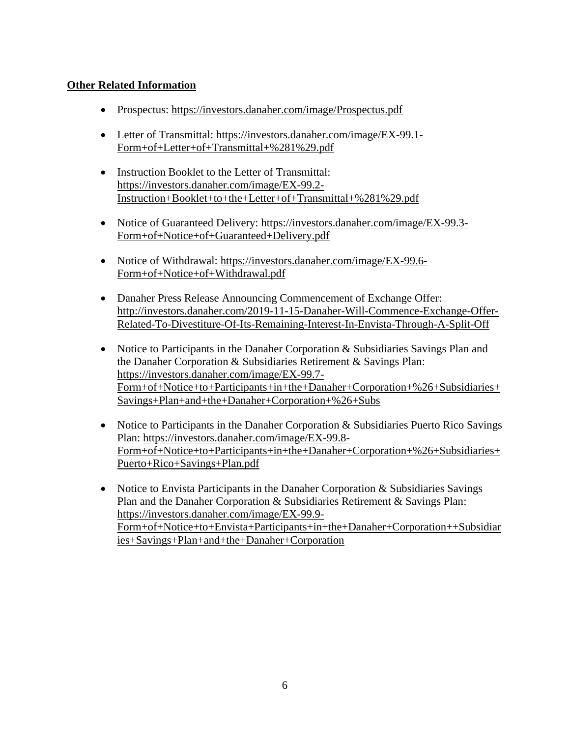## **Other Related Information**

- Prospectus: https://investors.danaher.com/image/Prospectus.pdf
- Letter of Transmittal: https://investors.danaher.com/image/EX-99.1- Form+of+Letter+of+Transmittal+%281%29.pdf
- Instruction Booklet to the Letter of Transmittal: https://investors.danaher.com/image/EX-99.2- Instruction+Booklet+to+the+Letter+of+Transmittal+%281%29.pdf
- Notice of Guaranteed Delivery: https://investors.danaher.com/image/EX-99.3- Form+of+Notice+of+Guaranteed+Delivery.pdf
- Notice of Withdrawal: https://investors.danaher.com/image/EX-99.6-Form+of+Notice+of+Withdrawal.pdf
- Danaher Press Release Announcing Commencement of Exchange Offer: http://investors.danaher.com/2019-11-15-Danaher-Will-Commence-Exchange-Offer-Related-To-Divestiture-Of-Its-Remaining-Interest-In-Envista-Through-A-Split-Off
- Notice to Participants in the Danaher Corporation & Subsidiaries Savings Plan and the Danaher Corporation & Subsidiaries Retirement & Savings Plan: https://investors.danaher.com/image/EX-99.7- Form+of+Notice+to+Participants+in+the+Danaher+Corporation+%26+Subsidiaries+ Savings+Plan+and+the+Danaher+Corporation+%26+Subs
- Notice to Participants in the Danaher Corporation & Subsidiaries Puerto Rico Savings Plan: https://investors.danaher.com/image/EX-99.8- Form+of+Notice+to+Participants+in+the+Danaher+Corporation+%26+Subsidiaries+ Puerto+Rico+Savings+Plan.pdf
- Notice to Envista Participants in the Danaher Corporation & Subsidiaries Savings Plan and the Danaher Corporation & Subsidiaries Retirement & Savings Plan: https://investors.danaher.com/image/EX-99.9- Form+of+Notice+to+Envista+Participants+in+the+Danaher+Corporation++Subsidiar ies+Savings+Plan+and+the+Danaher+Corporation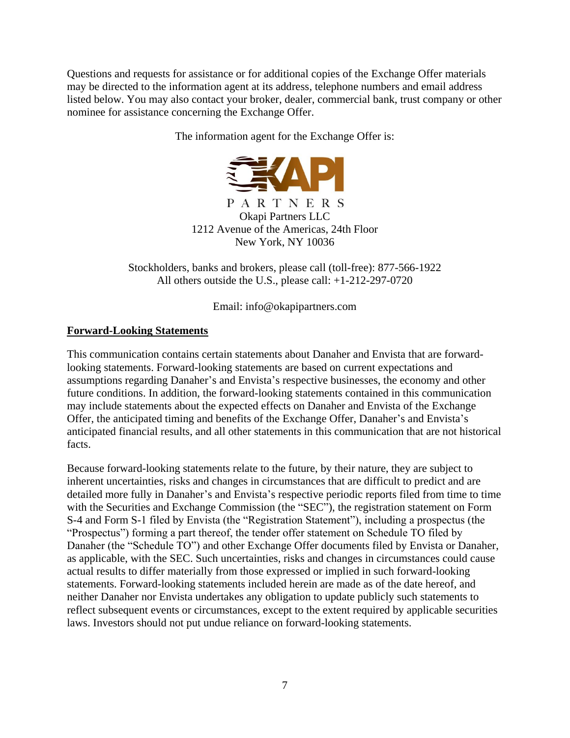Questions and requests for assistance or for additional copies of the Exchange Offer materials may be directed to the information agent at its address, telephone numbers and email address listed below. You may also contact your broker, dealer, commercial bank, trust company or other nominee for assistance concerning the Exchange Offer.

The information agent for the Exchange Offer is:



PARTNERS Okapi Partners LLC 1212 Avenue of the Americas, 24th Floor New York, NY 10036

Stockholders, banks and brokers, please call (toll-free): 877-566-1922 All others outside the U.S., please call: +1-212-297-0720

Email: info@okapipartners.com

# **Forward-Looking Statements**

This communication contains certain statements about Danaher and Envista that are forwardlooking statements. Forward-looking statements are based on current expectations and assumptions regarding Danaher's and Envista's respective businesses, the economy and other future conditions. In addition, the forward-looking statements contained in this communication may include statements about the expected effects on Danaher and Envista of the Exchange Offer, the anticipated timing and benefits of the Exchange Offer, Danaher's and Envista's anticipated financial results, and all other statements in this communication that are not historical facts.

Because forward-looking statements relate to the future, by their nature, they are subject to inherent uncertainties, risks and changes in circumstances that are difficult to predict and are detailed more fully in Danaher's and Envista's respective periodic reports filed from time to time with the Securities and Exchange Commission (the "SEC"), the registration statement on Form S-4 and Form S-1 filed by Envista (the "Registration Statement"), including a prospectus (the "Prospectus") forming a part thereof, the tender offer statement on Schedule TO filed by Danaher (the "Schedule TO") and other Exchange Offer documents filed by Envista or Danaher, as applicable, with the SEC. Such uncertainties, risks and changes in circumstances could cause actual results to differ materially from those expressed or implied in such forward-looking statements. Forward-looking statements included herein are made as of the date hereof, and neither Danaher nor Envista undertakes any obligation to update publicly such statements to reflect subsequent events or circumstances, except to the extent required by applicable securities laws. Investors should not put undue reliance on forward-looking statements.